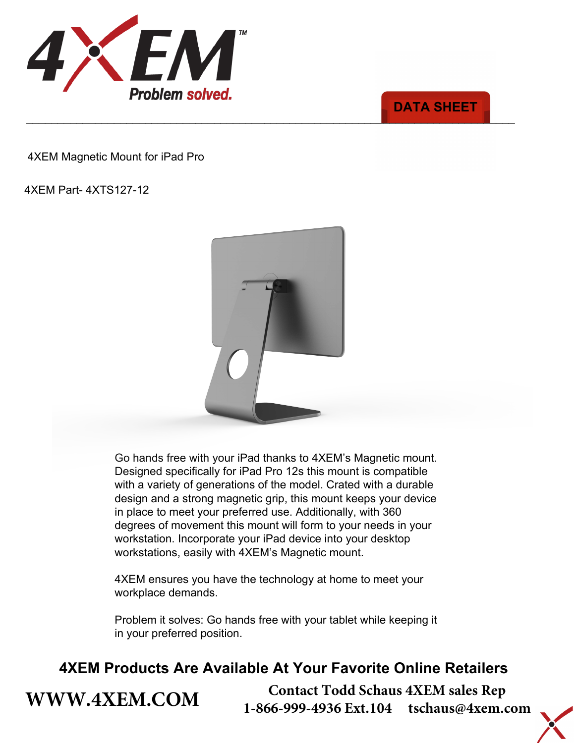

### \_\_\_\_\_\_\_\_\_\_\_\_\_\_\_\_\_\_\_\_\_\_\_\_\_\_\_\_\_\_\_\_\_\_\_\_\_\_\_\_\_\_\_\_\_\_\_\_\_\_\_\_\_\_\_\_\_\_\_\_\_\_\_\_\_\_\_\_\_\_\_\_\_\_\_\_\_\_ **DATA SHEET**

4XEM Part- 4XTS127-12

**[WWW.4XEM.COM](www.4xem.com)** 



Go hands free with your mobile device thanks to 4XEM's Magnetic mount. Designed for use with iPad Pro 12s and other mobile devices. Crated with a durable design and a strong magnetic grip, this mount keeps your device in place to meet your preferred use. Additionally, with 360 degrees of movement this mount will form to your needs in your workstation. Incorporate your iPad device into your desktop workstations, easily with 4XEM's Magnetic mount.

4XEM ensures you have the technology at home to meet your workplace demands.

Problem it solves: Go hands free with your tablet while keeping it in your preferred position.

## **4XEM Products Are Available At Your Favorite Online Retailers**

**Contact Todd Schaus 4XEM sales Rep 1-866-999-4936 Ext.104 tschaus@4xem.com**

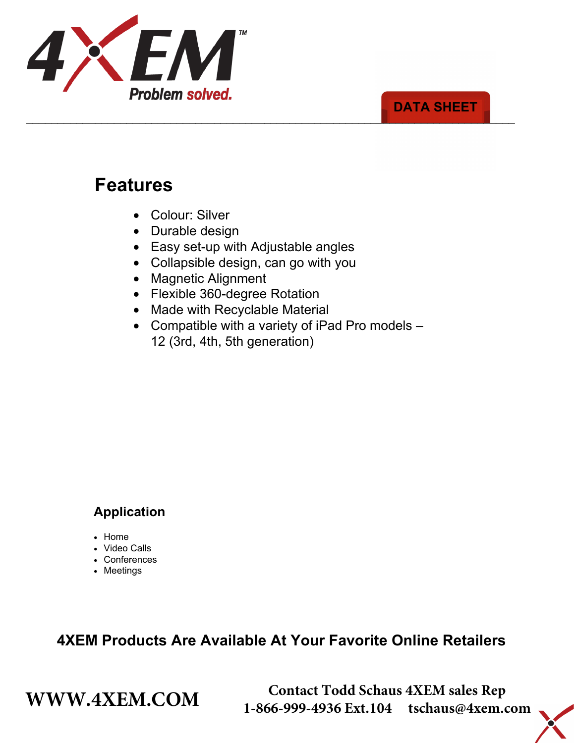

#### \_\_\_\_\_\_\_\_\_\_\_\_\_\_\_\_\_\_\_\_\_\_\_\_\_\_\_\_\_\_\_\_\_\_\_\_\_\_\_\_\_\_\_\_\_\_\_\_\_\_\_\_\_\_\_\_\_\_\_\_\_\_\_\_\_\_\_\_\_\_\_\_\_\_\_\_\_\_ **DATA SHEET**

# **Features**

- Colour: Silver
- Durable design
- Easy set-up with Adjustable angles
- Collapsible design, can go with you
- Magnetic Alignment
- Flexible 360-degree Rotation
- Made with Recyclable Material
- Compatible with a variety of iPad Pro models 12 (3rd, 4th, 5th generation)



### **Application**

- Home
- Video Calls
- Conferences
- Meetings

### **4XEM Products Are Available At Your Favorite Online Retailers**

**WWW.4XEM.COM** <sup>Contact Todd Schaus 4XEM sales Rep<br>1-866-999-4936 Ext.104 tschaus@4xem.com</sup> 1-866-999-4936 Ext.104